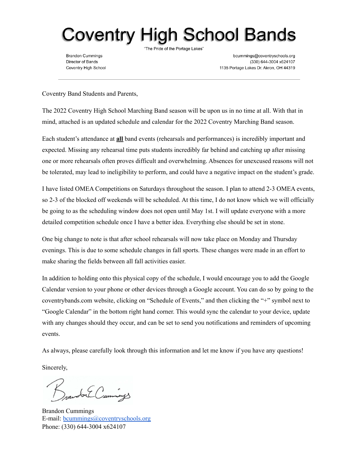## Coventry High School Bands

**Brandon Cummings** Director of Bands Coventry High School "The Pride of the Portage Lakes"

bcummings@coventryschools.org (330) 644-3004 x624107 1135 Portage Lakes Dr. Akron, OH 44319

Coventry Band Students and Parents,

The 2022 Coventry High School Marching Band season will be upon us in no time at all. With that in mind, attached is an updated schedule and calendar for the 2022 Coventry Marching Band season.

Each student's attendance at **all** band events (rehearsals and performances) is incredibly important and expected. Missing any rehearsal time puts students incredibly far behind and catching up after missing one or more rehearsals often proves difficult and overwhelming. Absences for unexcused reasons will not be tolerated, may lead to ineligibility to perform, and could have a negative impact on the student's grade.

I have listed OMEA Competitions on Saturdays throughout the season. I plan to attend 2-3 OMEA events, so 2-3 of the blocked off weekends will be scheduled. At this time, I do not know which we will officially be going to as the scheduling window does not open until May 1st. I will update everyone with a more detailed competition schedule once I have a better idea. Everything else should be set in stone.

One big change to note is that after school rehearsals will now take place on Monday and Thursday evenings. This is due to some schedule changes in fall sports. These changes were made in an effort to make sharing the fields between all fall activities easier.

In addition to holding onto this physical copy of the schedule, I would encourage you to add the Google Calendar version to your phone or other devices through a Google account. You can do so by going to the coventrybands.com website, clicking on "Schedule of Events," and then clicking the "+" symbol next to "Google Calendar" in the bottom right hand corner. This would sync the calendar to your device, update with any changes should they occur, and can be set to send you notifications and reminders of upcoming events.

As always, please carefully look through this information and let me know if you have any questions!

Sincerely,

for Cummings

Brandon Cummings E-mail: [bcummings@coventryschools.org](mailto:bcummings@coventryschools.org) Phone: (330) 644-3004 x624107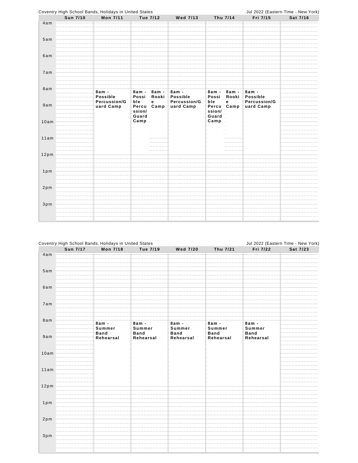|        |          | Coventry High School Bands, Holidays in United States |                  |                 |                           |               |                            |                           | Jul 2022 (Eastern Time - New York) |
|--------|----------|-------------------------------------------------------|------------------|-----------------|---------------------------|---------------|----------------------------|---------------------------|------------------------------------|
|        | Sun 7/10 | Mon 7/11                                              |                  | Tue 7/12        | <b>Wed 7/13</b>           |               | Thu 7/14                   | Fri 7/15                  | Sat 7/16                           |
| 4am    |          |                                                       |                  |                 |                           |               |                            |                           |                                    |
| 5am    |          |                                                       |                  |                 |                           |               |                            |                           |                                    |
| 6am    |          |                                                       |                  |                 |                           |               |                            |                           |                                    |
| 7am    |          |                                                       |                  |                 |                           |               |                            |                           |                                    |
| 8am    |          | $8am -$<br><b>Possible</b>                            | $8am -$<br>Possi | 8am -<br>Rooki  | 8am -<br><b>Possible</b>  |               | 8am - 8am -<br>Possi Rooki | 8am -<br><b>Possible</b>  |                                    |
| 9am    |          | Percussion/G<br>uard Camp                             | ble<br>ssion/    | e<br>Percu Camp | Percussion/G<br>uard Camp | ble<br>ssion/ | e<br>Percu Camp            | Percussion/G<br>uard Camp |                                    |
| 10am   |          |                                                       | Guard<br>Camp    |                 |                           | Guard<br>Camp |                            |                           |                                    |
| 11am   |          |                                                       |                  |                 |                           |               |                            |                           |                                    |
| 12pm   |          |                                                       |                  |                 |                           |               |                            |                           |                                    |
| $1p$ m |          |                                                       |                  |                 |                           |               |                            |                           |                                    |
| 2pm    |          |                                                       |                  |                 |                           |               |                            |                           |                                    |
| 3pm    |          |                                                       |                  |                 |                           |               |                            |                           |                                    |
|        |          |                                                       |                  |                 |                           |               |                            |                           |                                    |

|        |          | Coventry High School Bands, Holidays in United States |             |                 |             |             | Jul 2022 (Eastern Time - New York) |
|--------|----------|-------------------------------------------------------|-------------|-----------------|-------------|-------------|------------------------------------|
|        | Sun 7/17 | Mon 7/18                                              | Tue 7/19    | <b>Wed 7/20</b> | Thu 7/21    | Fri 7/22    | Sat 7/23                           |
| 4am    |          |                                                       |             |                 |             |             |                                    |
|        |          |                                                       |             |                 |             |             |                                    |
|        |          |                                                       |             |                 |             |             |                                    |
| 5am    |          |                                                       |             |                 |             |             |                                    |
|        |          |                                                       |             |                 |             |             |                                    |
|        |          |                                                       |             |                 |             |             |                                    |
| 6am    |          |                                                       |             |                 |             |             |                                    |
|        |          |                                                       |             |                 |             |             |                                    |
|        |          |                                                       |             |                 |             |             |                                    |
| 7am    |          |                                                       |             |                 |             |             |                                    |
|        |          |                                                       |             |                 |             |             |                                    |
|        |          |                                                       |             |                 |             |             |                                    |
| 8am    |          | $8am -$                                               | $8am -$     | $8am -$         | $8am -$     | $8am -$     |                                    |
|        |          | Summer                                                | Summer      | Summer          | Summer      | Summer      |                                    |
|        |          | <b>Band</b>                                           | <b>Band</b> | <b>Band</b>     | <b>Band</b> | <b>Band</b> |                                    |
| 9am    |          | Rehearsal                                             | Rehearsal   | Rehearsal       | Rehearsal   | Rehearsal   |                                    |
|        |          |                                                       |             |                 |             |             |                                    |
|        |          |                                                       |             |                 |             |             |                                    |
| 10am   |          |                                                       |             |                 |             |             |                                    |
|        |          |                                                       |             |                 |             |             |                                    |
|        |          |                                                       |             |                 |             |             |                                    |
| 11am   |          |                                                       |             |                 |             |             |                                    |
|        |          |                                                       |             |                 |             |             |                                    |
|        |          |                                                       |             |                 |             |             |                                    |
| 12pm   |          |                                                       |             |                 |             |             |                                    |
|        |          |                                                       |             |                 |             |             |                                    |
|        |          |                                                       |             |                 |             |             |                                    |
| $1p$ m |          |                                                       |             |                 |             |             |                                    |
|        |          |                                                       |             |                 |             |             |                                    |
|        |          |                                                       |             |                 |             |             |                                    |
| 2pm    |          |                                                       |             |                 |             |             |                                    |
|        |          |                                                       |             |                 |             |             |                                    |
|        |          |                                                       |             |                 |             |             |                                    |
| 3pm    |          |                                                       |             |                 |             |             |                                    |
|        |          |                                                       |             |                 |             |             |                                    |
|        |          |                                                       |             |                 |             |             |                                    |
|        |          |                                                       |             |                 |             |             |                                    |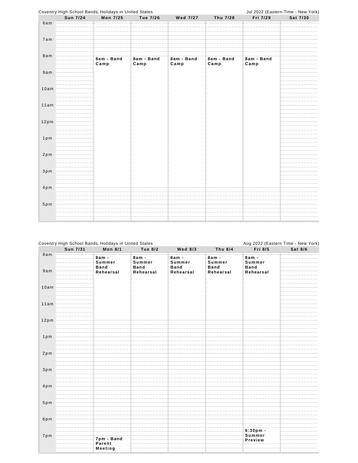

## Coventry High School Bands, Holidays in United States

|                  |                 | Coventry High School Bands, Holidays in United States |                                  |                                  |                                  |                                  | Aug 2022 (Eastern Time - New York) |
|------------------|-----------------|-------------------------------------------------------|----------------------------------|----------------------------------|----------------------------------|----------------------------------|------------------------------------|
|                  | <b>Sun 7/31</b> | <b>Mon 8/1</b>                                        | <b>Tue 8/2</b>                   | <b>Wed 8/3</b>                   | Thu 8/4                          | Fri 8/5                          | Sat 8/6                            |
| 8am              |                 | $8am -$<br>Summer<br><b>Band</b>                      | $8am -$<br>Summer<br><b>Band</b> | $8am -$<br>Summer<br><b>Band</b> | $8am -$<br>Summer<br><b>Band</b> | $8am -$<br>Summer<br><b>Band</b> |                                    |
| 9am              |                 | Rehearsal                                             | Rehearsal                        | Rehearsal                        | Rehearsal                        | Rehearsal                        |                                    |
| 10am             |                 |                                                       |                                  |                                  |                                  |                                  |                                    |
| 11am             |                 |                                                       |                                  |                                  |                                  |                                  |                                    |
| 12 <sub>pm</sub> |                 |                                                       |                                  |                                  |                                  |                                  |                                    |
| $1p$ m           |                 |                                                       |                                  |                                  |                                  |                                  |                                    |
| 2pm              |                 |                                                       |                                  |                                  |                                  |                                  |                                    |
| $3p$ m           |                 |                                                       |                                  |                                  |                                  |                                  |                                    |
| $4p$ m           |                 |                                                       |                                  |                                  |                                  |                                  |                                    |
| $5p$ m           |                 |                                                       |                                  |                                  |                                  |                                  |                                    |
| 6pm              |                 |                                                       |                                  |                                  |                                  |                                  |                                    |
| 7pm              |                 | 7pm - Band<br>Parent<br><b>Meeting</b>                |                                  |                                  |                                  | $6:30pm$ .<br>Summer<br>Preview  |                                    |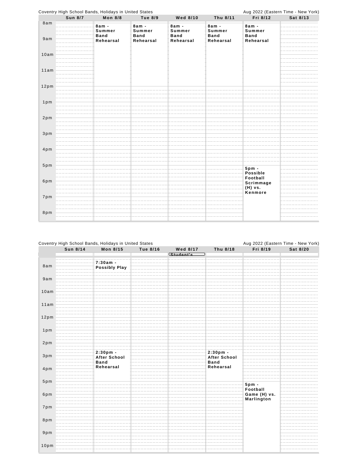|                   |         | Coventry High School Bands, Holidays in United States |                                  |                                  |                                  |                                  | Aug 2022 (Eastern Time - New York) |
|-------------------|---------|-------------------------------------------------------|----------------------------------|----------------------------------|----------------------------------|----------------------------------|------------------------------------|
|                   | Sun 8/7 | <b>Mon 8/8</b>                                        | <b>Tue 8/9</b>                   | <b>Wed 8/10</b>                  | Thu 8/11                         | Fri 8/12                         | Sat 8/13                           |
| 8am<br>9am        |         | $8am -$<br>Summer<br><b>Band</b>                      | $8am -$<br>Summer<br><b>Band</b> | $8am -$<br>Summer<br><b>Band</b> | $8am -$<br>Summer<br><b>Band</b> | $8am -$<br>Summer<br><b>Band</b> |                                    |
|                   |         | Rehearsal                                             | Rehearsal                        | Rehearsal                        | Rehearsal                        | Rehearsal                        |                                    |
| 10am              |         |                                                       |                                  |                                  |                                  |                                  |                                    |
| 11am              |         |                                                       |                                  |                                  |                                  |                                  |                                    |
| 12 <sub>p</sub> m |         |                                                       |                                  |                                  |                                  |                                  |                                    |
| $1p$ m            |         |                                                       |                                  |                                  |                                  |                                  |                                    |
| 2pm               |         |                                                       |                                  |                                  |                                  |                                  |                                    |
| 3 <sub>p</sub> m  |         |                                                       |                                  |                                  |                                  |                                  |                                    |
| $4p$ m            |         |                                                       |                                  |                                  |                                  |                                  |                                    |
| $5p$ m            |         |                                                       |                                  |                                  |                                  | $5pm$ .<br><b>Possible</b>       |                                    |
| 6pm               |         |                                                       |                                  |                                  |                                  | Football<br>Scrimmage<br>(H) vs. |                                    |
| 7pm               |         |                                                       |                                  |                                  |                                  | Kenmore                          |                                    |
| 8pm               |         |                                                       |                                  |                                  |                                  |                                  |                                    |

| Sun 8/14 | Mon 8/15                 | Tue 8/16 | <b>Wed 8/17</b> | Thu 8/18                           | Fri 8/19                 | Sat 8/20 |
|----------|--------------------------|----------|-----------------|------------------------------------|--------------------------|----------|
|          |                          |          | Student's       |                                    |                          |          |
|          | $7:30am -$               |          |                 |                                    |                          |          |
| 8am      | <b>Possibly Play</b>     |          |                 |                                    |                          |          |
| 9am      |                          |          |                 |                                    |                          |          |
|          |                          |          |                 |                                    |                          |          |
| 10am     |                          |          |                 |                                    |                          |          |
| 11am     |                          |          |                 |                                    |                          |          |
| 12pm     |                          |          |                 |                                    |                          |          |
|          |                          |          |                 |                                    |                          |          |
| $1p$ m   |                          |          |                 |                                    |                          |          |
| 2pm      |                          |          |                 |                                    |                          |          |
|          | 2:30pm -                 |          |                 | $2:30pm -$                         |                          |          |
| 3pm      | <b>After School</b>      |          |                 | <b>After School</b><br><b>Band</b> |                          |          |
| $4p$ m   | <b>Band</b><br>Rehearsal |          |                 | Rehearsal                          |                          |          |
|          |                          |          |                 |                                    |                          |          |
| 5pm      |                          |          |                 |                                    | $5pm$ .                  |          |
| 6pm      |                          |          |                 |                                    | Football<br>Game (H) vs. |          |
|          |                          |          |                 |                                    | Marlington               |          |
| 7pm      |                          |          |                 |                                    |                          |          |
| 8pm      |                          |          |                 |                                    |                          |          |
|          |                          |          |                 |                                    |                          |          |
| $9p$ m   |                          |          |                 |                                    |                          |          |
|          |                          |          |                 |                                    |                          |          |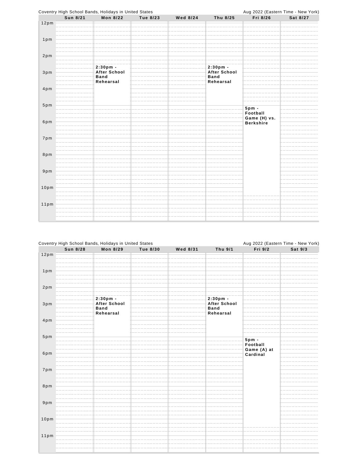

|                   | <b>Sun 8/28</b> | <b>Mon 8/29</b>                                               | <b>Tue 8/30</b> | Wed 8/31 | Thu 9/1                                                     | Fri 9/2                 | Sat 9/3 |
|-------------------|-----------------|---------------------------------------------------------------|-----------------|----------|-------------------------------------------------------------|-------------------------|---------|
| 12pm              |                 |                                                               |                 |          |                                                             |                         |         |
|                   |                 |                                                               |                 |          |                                                             |                         |         |
| $1p$ m            |                 |                                                               |                 |          |                                                             |                         |         |
| 2pm               |                 |                                                               |                 |          |                                                             |                         |         |
| 3pm               |                 | $2:30pm -$<br><b>After School</b><br><b>Band</b><br>Rehearsal |                 |          | 2:30pm -<br><b>After School</b><br><b>Band</b><br>Rehearsal |                         |         |
| 4pm               |                 |                                                               |                 |          |                                                             |                         |         |
| 5pm               |                 |                                                               |                 |          |                                                             | $5pm$ .<br>Football     |         |
| 6pm               |                 |                                                               |                 |          |                                                             | Game (A) at<br>Cardinal |         |
| 7pm               |                 |                                                               |                 |          |                                                             |                         |         |
| 8pm               |                 |                                                               |                 |          |                                                             |                         |         |
| $9p$ m            |                 |                                                               |                 |          |                                                             |                         |         |
| 10 <sub>p</sub> m |                 |                                                               |                 |          |                                                             |                         |         |
| 11pm              |                 |                                                               |                 |          |                                                             |                         |         |
|                   |                 |                                                               |                 |          |                                                             |                         |         |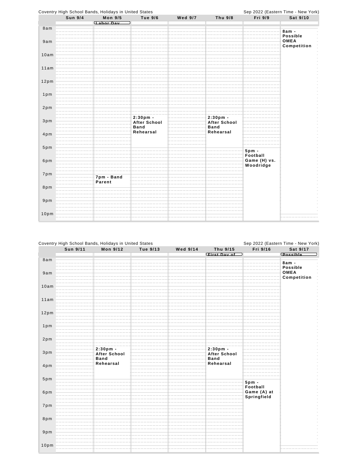

|                  |          | Coventry High School Bands, Holidays in United States |          | Sep 2022 (Eastern Time - New York) |                                                |                                        |                            |
|------------------|----------|-------------------------------------------------------|----------|------------------------------------|------------------------------------------------|----------------------------------------|----------------------------|
|                  | Sun 9/11 | Mon 9/12                                              | Tue 9/13 | Wed 9/14                           | Thu 9/15                                       | Fri 9/16                               | Sat 9/17                   |
|                  |          |                                                       |          |                                    | First Day of                                   |                                        | <b>Possible</b>            |
| 8am              |          |                                                       |          |                                    |                                                |                                        | $8am -$<br>Possible        |
| 9am              |          |                                                       |          |                                    |                                                |                                        | <b>OMEA</b><br>Competition |
| 10am             |          |                                                       |          |                                    |                                                |                                        |                            |
| 11am             |          |                                                       |          |                                    |                                                |                                        |                            |
| 12pm             |          |                                                       |          |                                    |                                                |                                        |                            |
| $1p$ m           |          |                                                       |          |                                    |                                                |                                        |                            |
| 2pm              |          |                                                       |          |                                    |                                                |                                        |                            |
| 3pm              |          | $2:30pm -$<br><b>After School</b><br><b>Band</b>      |          |                                    | 2:30pm -<br><b>After School</b><br><b>Band</b> |                                        |                            |
| 4pm              |          | Rehearsal                                             |          |                                    | Rehearsal                                      |                                        |                            |
| $5p$ m           |          |                                                       |          |                                    |                                                | $5pm$ -                                |                            |
| 6pm              |          |                                                       |          |                                    |                                                | Football<br>Game (A) at<br>Springfield |                            |
| 7pm              |          |                                                       |          |                                    |                                                |                                        |                            |
| 8pm              |          |                                                       |          |                                    |                                                |                                        |                            |
| $9p$ m           |          |                                                       |          |                                    |                                                |                                        |                            |
| 10 <sub>pm</sub> |          |                                                       |          |                                    |                                                |                                        |                            |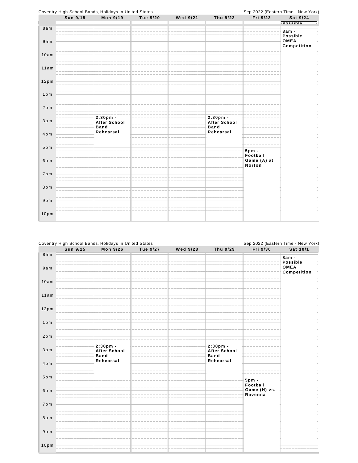

|                   | Sun 9/25 | Mon 9/26                                  | Tue 9/27 | <b>Wed 9/28</b> | Thu 9/29                                | Fri 9/30                | Sat 10/1                   |
|-------------------|----------|-------------------------------------------|----------|-----------------|-----------------------------------------|-------------------------|----------------------------|
| 8am               |          |                                           |          |                 |                                         |                         | $8am -$<br>Possible        |
| 9am               |          |                                           |          |                 |                                         |                         | <b>OMEA</b><br>Competition |
| 10am              |          |                                           |          |                 |                                         |                         |                            |
| 11am              |          |                                           |          |                 |                                         |                         |                            |
| 12pm              |          |                                           |          |                 |                                         |                         |                            |
| $1p$ m            |          |                                           |          |                 |                                         |                         |                            |
| 2pm               |          |                                           |          |                 |                                         |                         |                            |
| $3p$ m            |          | $2:30pm -$<br>After School<br><b>Band</b> |          |                 | 2:30pm -<br>After School<br><b>Band</b> |                         |                            |
| $4p$ m            |          | Rehearsal                                 |          |                 | Rehearsal                               |                         |                            |
| $5p$ m            |          |                                           |          |                 |                                         | $5pm$ .<br>Football     |                            |
| 6pm               |          |                                           |          |                 |                                         | Game (H) vs.<br>Ravenna |                            |
| 7pm               |          |                                           |          |                 |                                         |                         |                            |
| 8pm               |          |                                           |          |                 |                                         |                         |                            |
| 9 <sub>p</sub> m  |          |                                           |          |                 |                                         |                         |                            |
| 10 <sub>p</sub> m |          |                                           |          |                 |                                         |                         |                            |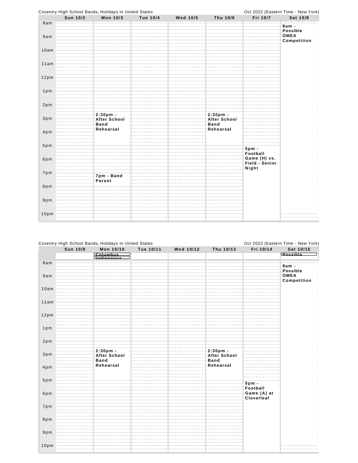

| Coventry High School Bands, Holidays in United States |          |                                    |           |           |                                    | Oct 2022 (Eastern Time - New York) |                            |  |
|-------------------------------------------------------|----------|------------------------------------|-----------|-----------|------------------------------------|------------------------------------|----------------------------|--|
|                                                       | Sun 10/9 | Mon 10/10                          | Tue 10/11 | Wed 10/12 | Thu 10/13                          | Fri 10/14                          | Sat 10/15                  |  |
|                                                       |          | Columbus<br>Undigenous             |           |           |                                    |                                    | <b>Possible</b>            |  |
| 8am                                                   |          |                                    |           |           |                                    |                                    | $8am -$                    |  |
|                                                       |          |                                    |           |           |                                    |                                    | <b>Possible</b>            |  |
| 9am                                                   |          |                                    |           |           |                                    |                                    | <b>OMEA</b><br>Competition |  |
|                                                       |          |                                    |           |           |                                    |                                    |                            |  |
| 10am                                                  |          |                                    |           |           |                                    |                                    |                            |  |
| 11am                                                  |          |                                    |           |           |                                    |                                    |                            |  |
|                                                       |          |                                    |           |           |                                    |                                    |                            |  |
| 12pm                                                  |          |                                    |           |           |                                    |                                    |                            |  |
|                                                       |          |                                    |           |           |                                    |                                    |                            |  |
| $1p$ m                                                |          |                                    |           |           |                                    |                                    |                            |  |
|                                                       |          |                                    |           |           |                                    |                                    |                            |  |
| 2pm                                                   |          |                                    |           |           |                                    |                                    |                            |  |
| 3pm                                                   |          | $2:30pm -$                         |           |           | $2:30pm -$                         |                                    |                            |  |
|                                                       |          | <b>After School</b><br><b>Band</b> |           |           | <b>After School</b><br><b>Band</b> |                                    |                            |  |
| $4p$ m                                                |          | Rehearsal                          |           |           | Rehearsal                          |                                    |                            |  |
|                                                       |          |                                    |           |           |                                    |                                    |                            |  |
| 5pm                                                   |          |                                    |           |           |                                    | $5pm$ -                            |                            |  |
|                                                       |          |                                    |           |           |                                    | Football                           |                            |  |
| 6pm                                                   |          |                                    |           |           |                                    | Game (A) at<br>Cloverleaf          |                            |  |
|                                                       |          |                                    |           |           |                                    |                                    |                            |  |
| 7pm                                                   |          |                                    |           |           |                                    |                                    |                            |  |
| 8pm                                                   |          |                                    |           |           |                                    |                                    |                            |  |
|                                                       |          |                                    |           |           |                                    |                                    |                            |  |
| 9pm                                                   |          |                                    |           |           |                                    |                                    |                            |  |
|                                                       |          |                                    |           |           |                                    |                                    |                            |  |
| 10 <sub>p</sub> m                                     |          |                                    |           |           |                                    |                                    |                            |  |
|                                                       |          |                                    |           |           |                                    |                                    |                            |  |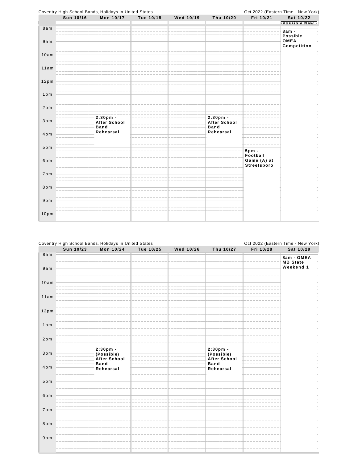

|        |           | Coventry High School Bands, Holidays in United States<br>Mon 10/24 | Tue 10/25 |           |                     | Fri 10/28 | Oct 2022 (Eastern Time - New York) |
|--------|-----------|--------------------------------------------------------------------|-----------|-----------|---------------------|-----------|------------------------------------|
|        | Sun 10/23 |                                                                    |           | Wed 10/26 | Thu 10/27           |           | Sat 10/29                          |
| 8am    |           |                                                                    |           |           |                     |           | 8am - OMEA                         |
|        |           |                                                                    |           |           |                     |           | <b>MB</b> State                    |
|        |           |                                                                    |           |           |                     |           | Weekend 1                          |
| 9am    |           |                                                                    |           |           |                     |           |                                    |
|        |           |                                                                    |           |           |                     |           |                                    |
|        |           |                                                                    |           |           |                     |           |                                    |
| 10am   |           |                                                                    |           |           |                     |           |                                    |
|        |           |                                                                    |           |           |                     |           |                                    |
|        |           |                                                                    |           |           |                     |           |                                    |
| 11am   |           |                                                                    |           |           |                     |           |                                    |
|        |           |                                                                    |           |           |                     |           |                                    |
|        |           |                                                                    |           |           |                     |           |                                    |
| 12pm   |           |                                                                    |           |           |                     |           |                                    |
|        |           |                                                                    |           |           |                     |           |                                    |
|        |           |                                                                    |           |           |                     |           |                                    |
| $1p$ m |           |                                                                    |           |           |                     |           | $\overline{\phantom{a}}$           |
|        |           |                                                                    |           |           |                     |           |                                    |
|        |           |                                                                    |           |           |                     |           |                                    |
| 2pm    |           |                                                                    |           |           |                     |           | $\frac{1}{2}$                      |
|        |           |                                                                    |           |           |                     |           | $\overline{\phantom{a}}$           |
|        |           | $2:30pm -$                                                         |           |           | $2:30pm -$          |           |                                    |
| 3pm    |           | (Possible)                                                         |           |           | (Possible)          |           | $\frac{1}{\pi}$                    |
|        |           | After School                                                       |           |           |                     |           | $\frac{1}{2}$                      |
|        |           |                                                                    |           |           | <b>After School</b> |           |                                    |
| $4p$ m |           | <b>Band</b>                                                        |           |           | <b>Band</b>         |           | $\frac{1}{\pi}$                    |
|        |           | Rehearsal                                                          |           |           | Rehearsal           |           | $\frac{1}{\pi}$                    |
|        |           |                                                                    |           |           |                     |           |                                    |
|        |           |                                                                    |           |           |                     |           | Í                                  |
| $5p$ m |           |                                                                    |           |           |                     |           | $\overline{\phantom{a}}$           |
|        |           |                                                                    |           |           |                     |           |                                    |
|        |           |                                                                    |           |           |                     |           |                                    |
| 6pm    |           |                                                                    |           |           |                     |           |                                    |
|        |           |                                                                    |           |           |                     |           |                                    |
|        |           |                                                                    |           |           |                     |           |                                    |
| 7pm    |           |                                                                    |           |           |                     |           | $\overline{\phantom{a}}$           |
|        |           |                                                                    |           |           |                     |           |                                    |
|        |           |                                                                    |           |           |                     |           |                                    |
| 8pm    |           |                                                                    |           |           |                     |           |                                    |
|        |           |                                                                    |           |           |                     |           |                                    |
|        |           |                                                                    |           |           |                     |           |                                    |
| 9pm    |           |                                                                    |           |           |                     |           |                                    |
|        |           |                                                                    |           |           |                     |           |                                    |
|        |           |                                                                    |           |           |                     |           |                                    |
|        |           |                                                                    |           |           |                     |           |                                    |